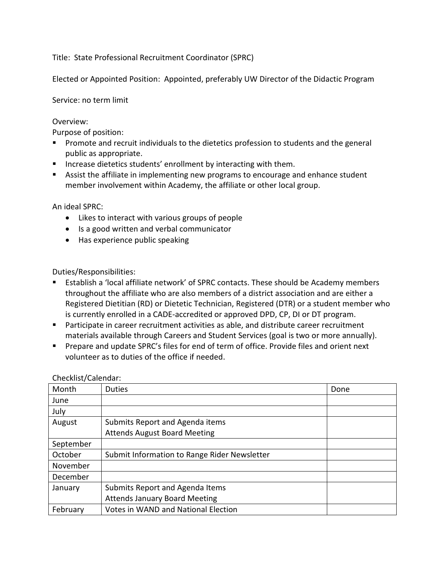Title: State Professional Recruitment Coordinator (SPRC)

Elected or Appointed Position: Appointed, preferably UW Director of the Didactic Program

Service: no term limit

## Overview:

Purpose of position:

- **Promote and recruit individuals to the dietetics profession to students and the general** public as appropriate.
- **IF** Increase dietetics students' enrollment by interacting with them.
- Assist the affiliate in implementing new programs to encourage and enhance student member involvement within Academy, the affiliate or other local group.

An ideal SPRC:

- Likes to interact with various groups of people
- Is a good written and verbal communicator
- Has experience public speaking

Duties/Responsibilities:

- Establish a 'local affiliate network' of SPRC contacts. These should be Academy members throughout the affiliate who are also members of a district association and are either a Registered Dietitian (RD) or Dietetic Technician, Registered (DTR) or a student member who is currently enrolled in a CADE-accredited or approved DPD, CP, DI or DT program.
- **Participate in career recruitment activities as able, and distribute career recruitment** materials available through Careers and Student Services (goal is two or more annually).
- Prepare and update SPRC's files for end of term of office. Provide files and orient next volunteer as to duties of the office if needed.

| Month     | <b>Duties</b>                                | Done |
|-----------|----------------------------------------------|------|
| June      |                                              |      |
| July      |                                              |      |
| August    | Submits Report and Agenda items              |      |
|           | <b>Attends August Board Meeting</b>          |      |
| September |                                              |      |
| October   | Submit Information to Range Rider Newsletter |      |
| November  |                                              |      |
| December  |                                              |      |
| January   | Submits Report and Agenda Items              |      |
|           | <b>Attends January Board Meeting</b>         |      |
| February  | <b>Votes in WAND and National Election</b>   |      |

Checklist/Calendar: